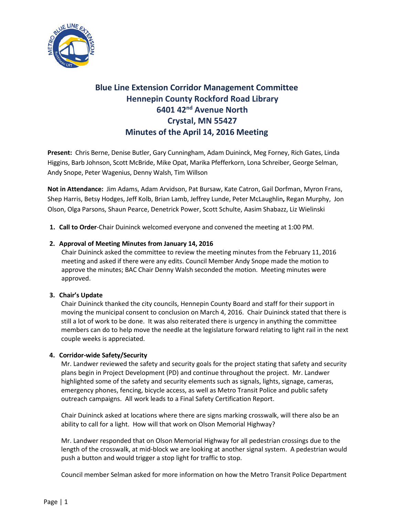

# **Blue Line Extension Corridor Management Committee Hennepin County Rockford Road Library 6401 42nd Avenue North Crystal, MN 55427 Minutes of the April 14, 2016 Meeting**

**Present:** Chris Berne, Denise Butler, Gary Cunningham, Adam Duininck, Meg Forney, Rich Gates, Linda Higgins, Barb Johnson, Scott McBride, Mike Opat, Marika Pfefferkorn, Lona Schreiber, George Selman, Andy Snope, Peter Wagenius, Denny Walsh, Tim Willson

**Not in Attendance:** Jim Adams, Adam Arvidson, Pat Bursaw, Kate Catron, Gail Dorfman, Myron Frans, Shep Harris, Betsy Hodges, Jeff Kolb, Brian Lamb, Jeffrey Lunde, Peter McLaughlin**,** Regan Murphy, Jon Olson, Olga Parsons, Shaun Pearce, Denetrick Power, Scott Schulte, Aasim Shabazz, Liz Wielinski

**1. Call to Order**-Chair Duininck welcomed everyone and convened the meeting at 1:00 PM.

## **2. Approval of Meeting Minutes from January 14, 2016**

Chair Duininck asked the committee to review the meeting minutes from the February 11, 2016 meeting and asked if there were any edits. Council Member Andy Snope made the motion to approve the minutes; BAC Chair Denny Walsh seconded the motion. Meeting minutes were approved.

## **3. Chair's Update**

Chair Duininck thanked the city councils, Hennepin County Board and staff for their support in moving the municipal consent to conclusion on March 4, 2016. Chair Duininck stated that there is still a lot of work to be done. It was also reiterated there is urgency in anything the committee members can do to help move the needle at the legislature forward relating to light rail in the next couple weeks is appreciated.

## **4. Corridor-wide Safety/Security**

Mr. Landwer reviewed the safety and security goals for the project stating that safety and security plans begin in Project Development (PD) and continue throughout the project. Mr. Landwer highlighted some of the safety and security elements such as signals, lights, signage, cameras, emergency phones, fencing, bicycle access, as well as Metro Transit Police and public safety outreach campaigns. All work leads to a Final Safety Certification Report.

Chair Duininck asked at locations where there are signs marking crosswalk, will there also be an ability to call for a light. How will that work on Olson Memorial Highway?

Mr. Landwer responded that on Olson Memorial Highway for all pedestrian crossings due to the length of the crosswalk, at mid-block we are looking at another signal system. A pedestrian would push a button and would trigger a stop light for traffic to stop.

Council member Selman asked for more information on how the Metro Transit Police Department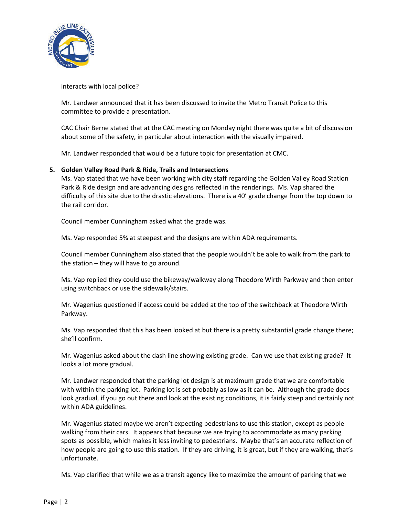

interacts with local police?

Mr. Landwer announced that it has been discussed to invite the Metro Transit Police to this committee to provide a presentation.

CAC Chair Berne stated that at the CAC meeting on Monday night there was quite a bit of discussion about some of the safety, in particular about interaction with the visually impaired.

Mr. Landwer responded that would be a future topic for presentation at CMC.

# **5. Golden Valley Road Park & Ride, Trails and Intersections**

Ms. Vap stated that we have been working with city staff regarding the Golden Valley Road Station Park & Ride design and are advancing designs reflected in the renderings. Ms. Vap shared the difficulty of this site due to the drastic elevations. There is a 40' grade change from the top down to the rail corridor.

Council member Cunningham asked what the grade was.

Ms. Vap responded 5% at steepest and the designs are within ADA requirements.

Council member Cunningham also stated that the people wouldn't be able to walk from the park to the station – they will have to go around.

Ms. Vap replied they could use the bikeway/walkway along Theodore Wirth Parkway and then enter using switchback or use the sidewalk/stairs.

Mr. Wagenius questioned if access could be added at the top of the switchback at Theodore Wirth Parkway.

Ms. Vap responded that this has been looked at but there is a pretty substantial grade change there; she'll confirm.

Mr. Wagenius asked about the dash line showing existing grade. Can we use that existing grade? It looks a lot more gradual.

Mr. Landwer responded that the parking lot design is at maximum grade that we are comfortable with within the parking lot. Parking lot is set probably as low as it can be. Although the grade does look gradual, if you go out there and look at the existing conditions, it is fairly steep and certainly not within ADA guidelines.

Mr. Wagenius stated maybe we aren't expecting pedestrians to use this station, except as people walking from their cars. It appears that because we are trying to accommodate as many parking spots as possible, which makes it less inviting to pedestrians. Maybe that's an accurate reflection of how people are going to use this station. If they are driving, it is great, but if they are walking, that's unfortunate.

Ms. Vap clarified that while we as a transit agency like to maximize the amount of parking that we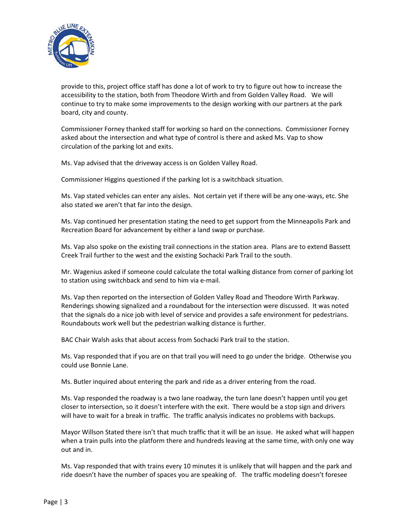

provide to this, project office staff has done a lot of work to try to figure out how to increase the accessibility to the station, both from Theodore Wirth and from Golden Valley Road. We will continue to try to make some improvements to the design working with our partners at the park board, city and county.

Commissioner Forney thanked staff for working so hard on the connections. Commissioner Forney asked about the intersection and what type of control is there and asked Ms. Vap to show circulation of the parking lot and exits.

Ms. Vap advised that the driveway access is on Golden Valley Road.

Commissioner Higgins questioned if the parking lot is a switchback situation.

Ms. Vap stated vehicles can enter any aisles. Not certain yet if there will be any one-ways, etc. She also stated we aren't that far into the design.

Ms. Vap continued her presentation stating the need to get support from the Minneapolis Park and Recreation Board for advancement by either a land swap or purchase.

Ms. Vap also spoke on the existing trail connections in the station area. Plans are to extend Bassett Creek Trail further to the west and the existing Sochacki Park Trail to the south.

Mr. Wagenius asked if someone could calculate the total walking distance from corner of parking lot to station using switchback and send to him via e-mail.

Ms. Vap then reported on the intersection of Golden Valley Road and Theodore Wirth Parkway. Renderings showing signalized and a roundabout for the intersection were discussed. It was noted that the signals do a nice job with level of service and provides a safe environment for pedestrians. Roundabouts work well but the pedestrian walking distance is further.

BAC Chair Walsh asks that about access from Sochacki Park trail to the station.

Ms. Vap responded that if you are on that trail you will need to go under the bridge. Otherwise you could use Bonnie Lane.

Ms. Butler inquired about entering the park and ride as a driver entering from the road.

Ms. Vap responded the roadway is a two lane roadway, the turn lane doesn't happen until you get closer to intersection, so it doesn't interfere with the exit. There would be a stop sign and drivers will have to wait for a break in traffic. The traffic analysis indicates no problems with backups.

Mayor Willson Stated there isn't that much traffic that it will be an issue. He asked what will happen when a train pulls into the platform there and hundreds leaving at the same time, with only one way out and in.

Ms. Vap responded that with trains every 10 minutes it is unlikely that will happen and the park and ride doesn't have the number of spaces you are speaking of. The traffic modeling doesn't foresee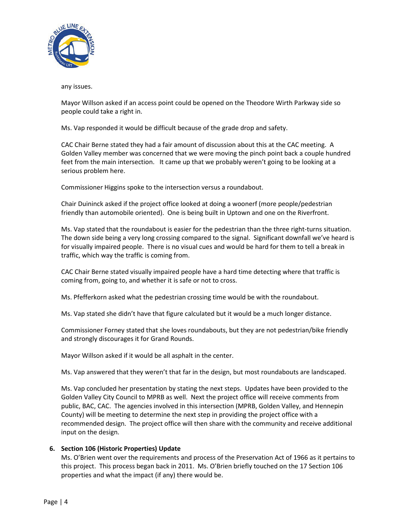

any issues.

Mayor Willson asked if an access point could be opened on the Theodore Wirth Parkway side so people could take a right in.

Ms. Vap responded it would be difficult because of the grade drop and safety.

CAC Chair Berne stated they had a fair amount of discussion about this at the CAC meeting. A Golden Valley member was concerned that we were moving the pinch point back a couple hundred feet from the main intersection. It came up that we probably weren't going to be looking at a serious problem here.

Commissioner Higgins spoke to the intersection versus a roundabout.

Chair Duininck asked if the project office looked at doing a woonerf (more people/pedestrian friendly than automobile oriented). One is being built in Uptown and one on the Riverfront.

Ms. Vap stated that the roundabout is easier for the pedestrian than the three right-turns situation. The down side being a very long crossing compared to the signal. Significant downfall we've heard is for visually impaired people. There is no visual cues and would be hard for them to tell a break in traffic, which way the traffic is coming from.

CAC Chair Berne stated visually impaired people have a hard time detecting where that traffic is coming from, going to, and whether it is safe or not to cross.

Ms. Pfefferkorn asked what the pedestrian crossing time would be with the roundabout.

Ms. Vap stated she didn't have that figure calculated but it would be a much longer distance.

Commissioner Forney stated that she loves roundabouts, but they are not pedestrian/bike friendly and strongly discourages it for Grand Rounds.

Mayor Willson asked if it would be all asphalt in the center.

Ms. Vap answered that they weren't that far in the design, but most roundabouts are landscaped.

Ms. Vap concluded her presentation by stating the next steps. Updates have been provided to the Golden Valley City Council to MPRB as well. Next the project office will receive comments from public, BAC, CAC. The agencies involved in this intersection (MPRB, Golden Valley, and Hennepin County) will be meeting to determine the next step in providing the project office with a recommended design. The project office will then share with the community and receive additional input on the design.

# **6. Section 106 (Historic Properties) Update**

Ms. O'Brien went over the requirements and process of the Preservation Act of 1966 as it pertains to this project. This process began back in 2011. Ms. O'Brien briefly touched on the 17 Section 106 properties and what the impact (if any) there would be.